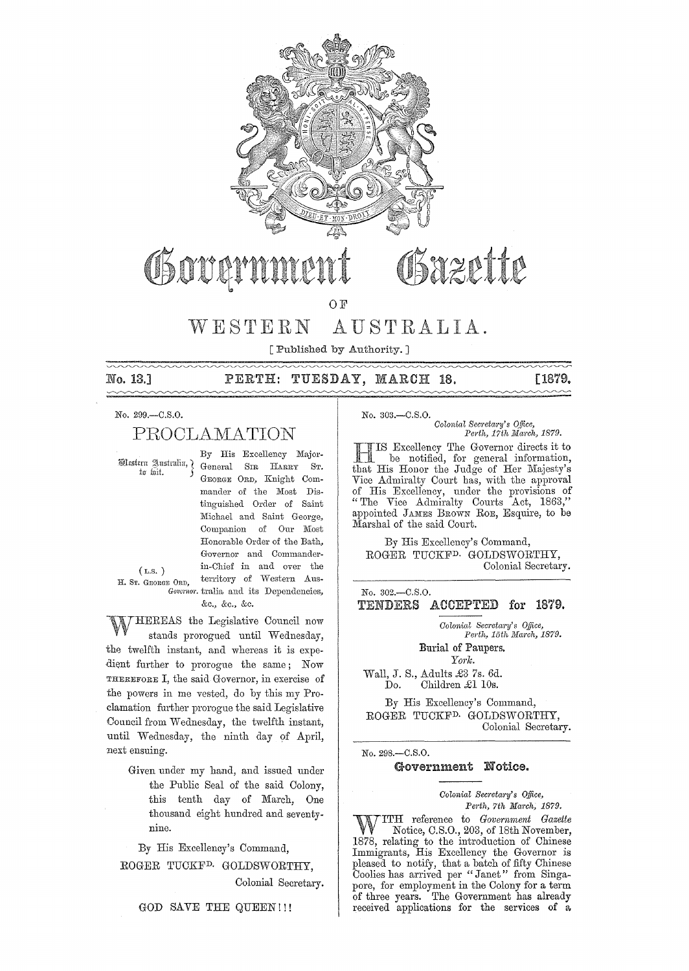

OSazette Osovernu

O F

#### $W E S T E R N$ AUSTRALIA.

[Published by Authority.]

No. 13.1

## PERTH: TUESDAY, MARCH 18.

Г1879.

## No. 299 .- C.S.O.

# PROCLAMATION

Western Australia, ) to fait.

By His Excellency Major-General SIR HARRY  $S_{\rm T}$ GEORGE ORD, Knight Commander of the Most Distinguished Order of Saint Michael and Saint George, Companion of Our Most Honorable Order of the Bath, Governor and Commanderin-Chief in and over the territory of Western Aus-Governor. tralia and its Dependencies, &c., &c., &c.

 $(L.S. )$ H. ST. GEORGE ORD,

HEREAS the Legislative Council now stands prorogued until Wednesday, the twelfth instant, and whereas it is expedient further to prorogue the same; Now THEREFORE I, the said Governor, in exercise of the powers in me vested, do by this my Proclamation further prorogue the said Legislative Council from Wednesday, the twelfth instant, until Wednesday, the ninth day of April, next ensuing.

> Given under my hand, and issued under the Public Seal of the said Colony, this tenth day of March, One thousand eight hundred and seventynine.

By His Excellency's Command,

ROGER TUCKF<sup>D.</sup> GOLDSWORTHY. Colonial Secretary.

GOD SAVE THE QUEEN!!!

No. 303 .- C.S.O.

Colonial Secretary's Office, Perth, 17th March, 1879.

IS Excellency The Governor directs it to<br>be notified, for general information, that His Honor the Judge of Her Majesty's Vice Admiralty Court has, with the approval<br>of His Excellency, under the provisions of "The Vice Admiralty Courts Act, 1863,"<br>appointed JAMES BROWN RoE, Esquire, to be Marshal of the said Court.

By His Excellency's Command, ROGER TUCKF<sup>D.</sup> GOLDSWORTHY, Colonial Secretary.

No. 302.-C.S.O.

TENDERS ACCEPTED for 1879.

> Colonial Secretary's Office, Perth, 15th March, 1879.

Burial of Paupers. York.

Wall, J. S., Adults £3 7s. 6d. Children £1 10s. Do.

By His Excellency's Command, ROGER TUCKF<sup>D.</sup> GOLDSWORTHY. Colonial Secretary.

No. 298.-C.S.O.

## Government Notice.

### Colonial Secretary's Office, Perth, 7th March, 1879.

TTH reference to Government Gazette Notice, C.S.O., 203, of 18th November, 1878, relating to the introduction of Chinese Immigrants, His Excellency the Governor is pleased to notify, that a batch of fifty Chinese Coolies has arrived per "Janet" from Singapore, for employment in the Colony for a term<br>of three years. The Government has already received applications for the services of a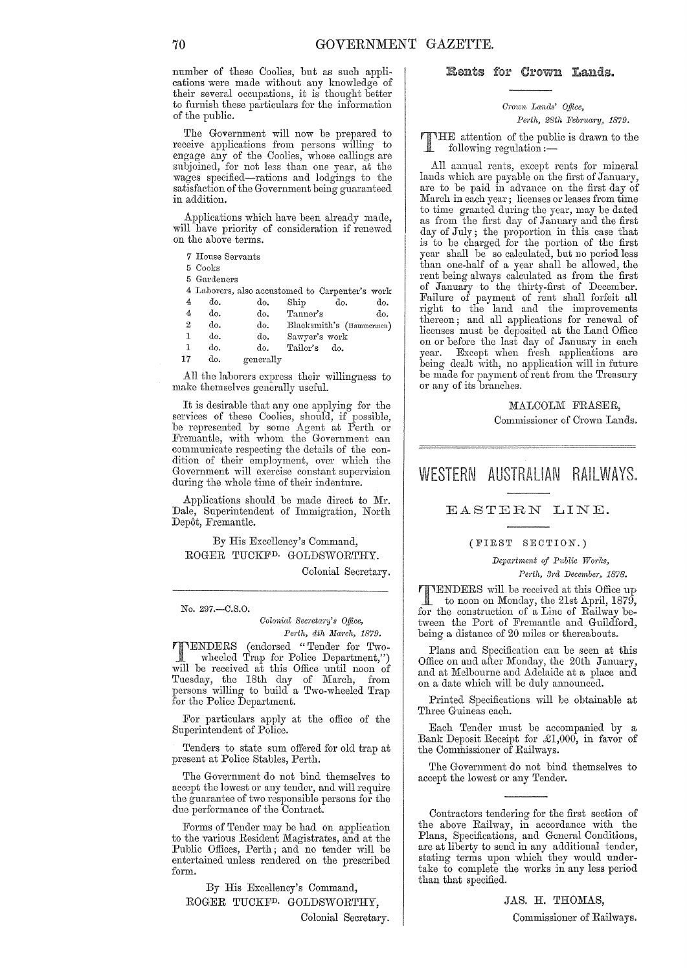number of these Coolies, but as such applications were made without any knowledge of their several occupations, it is thought better to furnish these particulars for the information of the public.

The Government will now be prepared to receive applications from persons willing to engage any of the Coolies, whose callings are subjoined, for not less than one year, at the wages specified-rations and lodgings to the satisfaction of the Government being guaranteed in addition.

Applications which have been already made, will have priority of consideration if renewed on the above terms.

|  |  | 7 House Servants |
|--|--|------------------|
|--|--|------------------|

5 Cooks

5 Gardeners

4 Laborers, also accustomed to Carpenter's work

| 4  | do. | do.       | Ship          | do. | do.                      |
|----|-----|-----------|---------------|-----|--------------------------|
| 4  | do. | do.       | Tanner's      |     | do.                      |
| 2  | do. | do.       |               |     | Blacksmith's (Hammermen) |
| 1  | do. | do.       | Sawyer's work |     |                          |
| 1  | do. | do.       | Tailor's      | do. |                          |
| 17 | do. | generally |               |     |                          |

All the laborers express their willingness to make themselves generally useful.

It is desirable that anyone applying for the services of these Coolies, should, if possible, be represented by some Agent at Perth or Fremantle, with whom the Government can communicate respecting the details of the con- dition of their employment, over which the Government will exercise constant supervision during the whole time of their indenture.

Applications should be made direct to Mr. Dale, Superintendent of Immigration, North Depot, Fremantle.

By His Excellency's Command, ROGER TUCKFD. GOLDSWORTHY.

Colonial Secretary.

No. 297.-C.S.0.

*Colonial Secl'etm'y's Office, Perth, 4th March, 1879.* 

**NENDERS** (endorsed "Tender for Twowheeled Trap for Police Department,") will be received at this Office until noon of Tuesday, the 18th day of March, from persons willing to build a Two-wheeled Trap for the Police Department.

For particulars apply at the office of the Superintendent of Police.

Tenders to state sum offered for old trap at present at Police Stables, Perth.

The Government do not bind themselves to accept the lowest or any tender, and will require the guarantee of two responsible persons for the due performance of the Contract.

Forms of Tender may be had on application to the various Resident Magistrates, and at the Public Offices, Perth; and no tender will be entertained unless rendered on the prescribed form.

By His Excellency's Command, ROGER TUCKFD. GOLDSWORTHY, Colonial Secretary.

## Rents for Crown Lands.

*Crown Lands' Oplee, Perth, 28th February, 1879.* 

 $\sqrt{r_{\text{H}}\cdot\text{H}}$  attention of the public is drawn to the  $\text{following regulation}$  :-

All annual rents, except rents for mineral lands which are payable on the first of January, are to be paid in advance on the first day of March in each year; licenses or leases from time to time granted during the year, may be dated as from the first day of January and the first day of July; the proportion in this case that is to be charged for the portion of the first year shall be so calculated, but no period less than one-half of a year shall be allowed, the rent being always calculated as from the first of January to the thirty-first of December. Failure of payment of rent shall forfeit all right to the land and the improvements thereon; and all applications for renewal of licenses must be deposited at the Land Office on or before the last day of January in each year. Except when fresh applications are being dealt with, no application will in future be made for payment of rent from the Treasury or any of its branches.

MALCOLM FRASER,

Commissioner of Crown Lands.

## WESTERN AUSTRALIAN RAILWAYS,

## EASTERN LINE.

## (FIRST SECTION.)

*Department of Public Works,*  Perth, 3rd December, 1878.

TUENDERS will be received at this Office up<br>to noon on Monday, the 21st April, 1879,<br>for the construction of a Line of Beilway be for the construction of a Line of Railway between the Port of Fremantle and Guildford, being a distance of 20 miles or thereabouts.

Plans and Specification can be seen at this Office on and after Monday, the 20th January, and at Melbourne and Adelaide at a place and on a date which will be duly announced.

Printed Specifications will be obtainable at Three Guineas each.

Each Tender must be accompanied by a Bank Deposit Receipt for £1,000, in favor of the Commissioner of Railways.

The Government do not bind themselves to accept the lowest or any Tender.

Contractors tendering for the first section of the above Railway, in accordance with the Plans, Specifications, and General Conditions, are at liberty to send in any additional tender, stating terms upon which they would undertake to complete the works in any less period than that specified.

> JAS. H. THOMAS, Commissioner of Railways.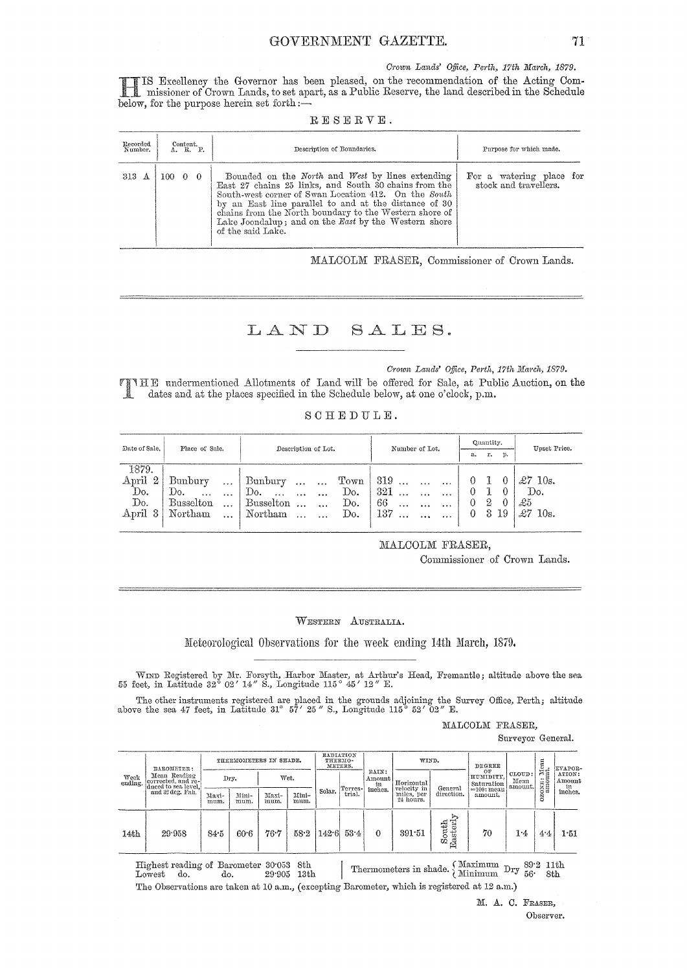Crown Lands' Office, Perth, 17th March, 1879.

IS Excellency the Governor has been pleased, on the recommendation of the Acting Commissioner of Crown Lands, to set apart, as a Public Reserve, the land described in the Schedule below, for the purpose herein set forth  $:$ 

|  |  |  |  |  | RESERVE. |  |  |  |
|--|--|--|--|--|----------|--|--|--|
|--|--|--|--|--|----------|--|--|--|

| Recorded<br>Number. | Content.<br>A. B. P. | Description of Boundaries.                                                                                                                                                                                                                                                                                                                                        | Purpose for which made.                           |
|---------------------|----------------------|-------------------------------------------------------------------------------------------------------------------------------------------------------------------------------------------------------------------------------------------------------------------------------------------------------------------------------------------------------------------|---------------------------------------------------|
| 313<br>A            | 100-<br>$0\quad 0$   | Bounded on the North and West by lines extending<br>East 27 chains 25 links, and South 30 chains from the<br>South-west corner of Swan Location 412. On the South<br>by an East line parallel to and at the distance of 30<br>chains from the North boundary to the Western shore of<br>Lake Joondalup; and on the East by the Western shore<br>of the said Lake. | For a watering place for<br>stock and travellers. |

MALCOLM FRASER, Commissioner of Crown Lands.

LAND SALES.

Crown Lands' Office, Perth, 17th March, 1879.

THE undermentioned Allotments of Land will be offered for Sale, at Public Auction, on the dates and at the places specified in the Schedule below, at one o'clock, p.m. Ÿ

| SCHEDULE. |  |  |  |  |  |  |  |  |
|-----------|--|--|--|--|--|--|--|--|
|-----------|--|--|--|--|--|--|--|--|

| Date of Sale.           | Place of Sale.                | Description of Lot.                               | Number of Lot.                 | Quantity.      | Upset Price.           |
|-------------------------|-------------------------------|---------------------------------------------------|--------------------------------|----------------|------------------------|
|                         |                               |                                                   |                                | r.<br>p.<br>а. |                        |
| 1879.                   |                               |                                                   |                                |                |                        |
| $\overline{2}$<br>April | Bunbury<br>                   | Town<br>Bunbury<br>$\cdots$<br>$\cdots$           | $319$<br>$\cdots$<br>$\cdots$  | $\theta$       | $\pounds 7$<br>10s.    |
| Do.                     | Do.<br>$\cdots$<br>$\cdots$   | Do.<br>Do.<br>$\cdots$<br>$\cdots$                | 321<br>$\cdots$<br>$\cdot$     | $_{0}$         | Do.                    |
| Do.                     | <b>Busselton</b><br>$\ddotsc$ | Busselton<br>Do.<br>$\ddot{\phantom{a}}$<br>5.5.4 | 66<br><br>$\cdots$<br>$\cdots$ | 2<br>€         | £5                     |
| April<br>3              | Northam<br>$\cdots$           | Do.<br>Northam<br>$\ddotsc$                       | 137<br>$\cdots$                | 3<br>19<br>0   | $\mathcal{L}7$<br>10s. |
|                         |                               |                                                   |                                |                |                        |
|                         |                               |                                                   |                                |                |                        |

MALCOLM FRASER,

Commissioner of Crown Lands.

WESTERN AUSTRALIA.

Meteorological Observations for the week ending 14th March, 1879.

WIND Registered by Mr. Forsyth, Harbor Master, at Arthur's Head, Fremantle; altitude above the sea 55 feet, in Latitude 32° 02' 14" S., Longitude 115° 45' 12" E.

The other instruments registered are placed in the grounds adjoining the Survey Office, Perth; altitude above the sea 47 feet, in Latitude 31° 57' 25" S., Longitude 115° 52' 02" E.

MALCOLM FRASER,

Surveyor General.

|                 | BAROMETER:                         |               | THERMOMETERS IN SHADE. |               |               |        | RADIATION<br>THERMO-<br>METERS. |                       | WIND.                     |                                    | DEGREE                        |                           |                       | EVAPOR-                   |
|-----------------|------------------------------------|---------------|------------------------|---------------|---------------|--------|---------------------------------|-----------------------|---------------------------|------------------------------------|-------------------------------|---------------------------|-----------------------|---------------------------|
| Week<br>ending. | Mean Reading<br>corrected, and re- |               | Dry.                   |               | Wet.          |        | Terres-                         | RAIN:<br>Amount<br>in | Horizontal<br>velocity in | General                            | OF<br>HUMIDITY,<br>Saturation | CLOUD:<br>Mean<br>amount. | toxu: Mean<br>amount. | ATION:<br>$\Lambda$ mount |
|                 | and 32 deg, Fah.                   | Maxi-<br>mum. | Mini-<br>mum.          | Maxi-<br>mum. | Mini-<br>mum. | Solar. | trial.                          | inches.               | miles, per<br>24 hours.   | direction.                         | $=100$ : mean<br>amount.      |                           | Š                     | in<br>inches.             |
| 14th            | 29.958                             | 84.5          | 60.6                   | 76.7          | 58.2          |        | $1426 - 534$                    | $\Omega$              | 391.51                    | erly<br>outh<br>${\rm East}$<br>ΩÒ | 70                            | 1.4                       | 4.4                   | 1.51                      |

Thermometers in shade.  $\left\{\begin{array}{cc}\text{Maximum} & \text{Dry} & \text{S9:2 11th} \\ \text{Minimum} & \text{Dry} & \text{56} \end{array}\right.$ Highest reading of Barometer 30.053 8th  $29\,905$   $\,$  13th Lowest do. do. The Observations are taken at 10 a.m., (excepting Barometer, which is registered at 12 a.m.)

> M. A. C. FRASER, Observer.